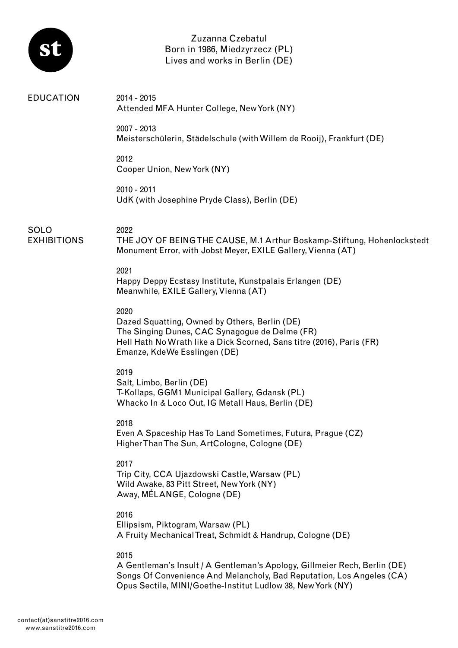

Zuzanna Czebatul Born in 1986, Miedzyrzecz (PL) Lives and works in Berlin (DE)

| <b>EDUCATION</b>                  | 2014 - 2015<br>Attended MFA Hunter College, New York (NY)                                                                                                                                                                 |
|-----------------------------------|---------------------------------------------------------------------------------------------------------------------------------------------------------------------------------------------------------------------------|
|                                   | 2007 - 2013<br>Meisterschülerin, Städelschule (with Willem de Rooij), Frankfurt (DE)                                                                                                                                      |
|                                   | 2012<br>Cooper Union, New York (NY)                                                                                                                                                                                       |
|                                   | 2010 - 2011<br>UdK (with Josephine Pryde Class), Berlin (DE)                                                                                                                                                              |
| <b>SOLO</b><br><b>EXHIBITIONS</b> | 2022<br>THE JOY OF BEINGTHE CAUSE, M.1 Arthur Boskamp-Stiftung, Hohenlockstedt<br>Monument Error, with Jobst Meyer, EXILE Gallery, Vienna (AT)                                                                            |
|                                   | 2021<br>Happy Deppy Ecstasy Institute, Kunstpalais Erlangen (DE)<br>Meanwhile, EXILE Gallery, Vienna (AT)                                                                                                                 |
|                                   | 2020<br>Dazed Squatting, Owned by Others, Berlin (DE)<br>The Singing Dunes, CAC Synagogue de Delme (FR)<br>Hell Hath No Wrath like a Dick Scorned, Sans titre (2016), Paris (FR)<br>Emanze, KdeWe Esslingen (DE)          |
|                                   | 2019<br>Salt, Limbo, Berlin (DE)<br>T-Kollaps, GGM1 Municipal Gallery, Gdansk (PL)<br>Whacko In & Loco Out, IG Metall Haus, Berlin (DE)                                                                                   |
|                                   | 2018<br>Even A Spaceship Has To Land Sometimes, Futura, Prague (CZ)<br>Higher Than The Sun, ArtCologne, Cologne (DE)                                                                                                      |
|                                   | 2017<br>Trip City, CCA Ujazdowski Castle, Warsaw (PL)<br>Wild Awake, 83 Pitt Street, New York (NY)<br>Away, MÉLANGE, Cologne (DE)                                                                                         |
|                                   | 2016<br>Ellipsism, Piktogram, Warsaw (PL)<br>A Fruity Mechanical Treat, Schmidt & Handrup, Cologne (DE)                                                                                                                   |
|                                   | 2015<br>A Gentleman's Insult / A Gentleman's Apology, Gillmeier Rech, Berlin (DE)<br>Songs Of Convenience And Melancholy, Bad Reputation, Los Angeles (CA)<br>Opus Sectile, MINI/Goethe-Institut Ludlow 38, New York (NY) |
|                                   |                                                                                                                                                                                                                           |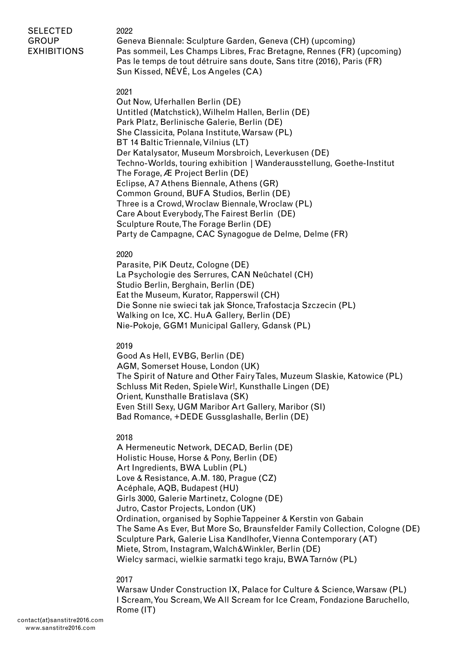# SELECTED **GROUP** EXHIBITIONS

2022 Geneva Biennale: Sculpture Garden, Geneva (CH) (upcoming) Pas sommeil, Les Champs Libres, Frac Bretagne, Rennes (FR) (upcoming) Pas le temps de tout détruire sans doute, Sans titre (2016), Paris (FR) Sun Kissed, NÉVÉ, Los Angeles (CA)

### 2021

Out Now, Uferhallen Berlin (DE) Untitled (Matchstick), Wilhelm Hallen, Berlin (DE) Park Platz, Berlinische Galerie, Berlin (DE) She Classicita, Polana Institute, Warsaw (PL) BT 14 Baltic Triennale, Vilnius (LT) Der Katalysator, Museum Morsbroich, Leverkusen (DE) Techno-Worlds, touring exhibition | Wanderausstellung, Goethe-Institut The Forage, Æ Project Berlin (DE) Eclipse, A7 Athens Biennale, Athens (GR) Common Ground, BUFA Studios, Berlin (DE) Three is a Crowd, Wroclaw Biennale, Wroclaw (PL) Care About Everybody, The Fairest Berlin (DE) Sculpture Route, The Forage Berlin (DE) Party de Campagne, CAC Synagogue de Delme, Delme (FR)

## 2020

Parasite, PiK Deutz, Cologne (DE) La Psychologie des Serrures, CAN Neûchatel (CH) Studio Berlin, Berghain, Berlin (DE) Eat the Museum, Kurator, Rapperswil (CH) Die Sonne nie swieci tak jak Słonce, Trafostacja Szczecin (PL) Walking on Ice, XC. HuA Gallery, Berlin (DE) Nie-Pokoje, GGM1 Municipal Gallery, Gdansk (PL)

## 2019

Good As Hell, EVBG, Berlin (DE) AGM, Somerset House, London (UK) The Spirit of Nature and Other Fairy Tales, Muzeum Slaskie, Katowice (PL) Schluss Mit Reden, Spiele Wir!, Kunsthalle Lingen (DE) Orient, Kunsthalle Bratislava (SK) Even Still Sexy, UGM Maribor Art Gallery, Maribor (SI) Bad Romance, +DEDE Gussglashalle, Berlin (DE)

## 2018

A Hermeneutic Network, DECAD, Berlin (DE) Holistic House, Horse & Pony, Berlin (DE) Art Ingredients, BWA Lublin (PL) Love & Resistance, A.M. 180, Prague (CZ) Acéphale, AQB, Budapest (HU) Girls 3000, Galerie Martinetz, Cologne (DE) Jutro, Castor Projects, London (UK) Ordination, organised by Sophie Tappeiner & Kerstin von Gabain The Same As Ever, But More So, Braunsfelder Family Collection, Cologne (DE) Sculpture Park, Galerie Lisa Kandlhofer, Vienna Contemporary (AT) Miete, Strom, Instagram, Walch&Winkler, Berlin (DE) Wielcy sarmaci, wielkie sarmatki tego kraju, BWA Tarnów (PL)

## 2017

Warsaw Under Construction IX, Palace for Culture & Science, Warsaw (PL) I Scream, You Scream, We All Scream for Ice Cream, Fondazione Baruchello, Rome (IT)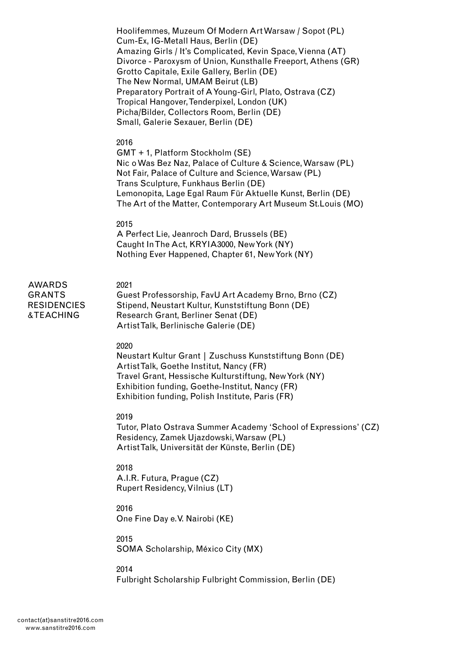Hoolifemmes, Muzeum Of Modern Art Warsaw / Sopot (PL) Cum-Ex, IG-Metall Haus, Berlin (DE) Amazing Girls / It's Complicated, Kevin Space, Vienna (AT) Divorce - Paroxysm of Union, Kunsthalle Freeport, Athens (GR) Grotto Capitale, Exile Gallery, Berlin (DE) The New Normal, UMAM Beirut (LB) Preparatory Portrait of A Young-Girl, Plato, Ostrava (CZ) Tropical Hangover, Tenderpixel, London (UK) Picha/Bilder, Collectors Room, Berlin (DE) Small, Galerie Sexauer, Berlin (DE)

### 2016

GMT + 1, Platform Stockholm (SE) Nic o Was Bez Naz, Palace of Culture & Science, Warsaw (PL) Not Fair, Palace of Culture and Science, Warsaw (PL) Trans Sculpture, Funkhaus Berlin (DE) Lemonopita, Lage Egal Raum Für Aktuelle Kunst, Berlin (DE) The Art of the Matter, Contemporary Art Museum St.Louis (MO)

### 2015

A Perfect Lie, Jeanroch Dard, Brussels (BE) Caught In The Act, KRYIA3000, New York (NY) Nothing Ever Happened, Chapter 61, New York (NY)

#### 2021

AWARDS GRANTS **RESIDENCIES** & TEACHING

Guest Professorship, FavU Art Academy Brno, Brno (CZ) Stipend, Neustart Kultur, Kunststiftung Bonn (DE) Research Grant, Berliner Senat (DE) Artist Talk, Berlinische Galerie (DE)

#### 2020

Neustart Kultur Grant | Zuschuss Kunststiftung Bonn (DE) Artist Talk, Goethe Institut, Nancy (FR) Travel Grant, Hessische Kulturstiftung, New York (NY) Exhibition funding, Goethe-Institut, Nancy (FR) Exhibition funding, Polish Institute, Paris (FR)

### 2019

Tutor, Plato Ostrava Summer Academy 'School of Expressions' (CZ) Residency, Zamek Ujazdowski, Warsaw (PL) Artist Talk, Universität der Künste, Berlin (DE)

### 2018

A.I.R. Futura, Prague (CZ) Rupert Residency, Vilnius (LT)

# 2016

One Fine Day e.V. Nairobi (KE)

### 2015

SOMA Scholarship, México City (MX)

#### 2014

Fulbright Scholarship Fulbright Commission, Berlin (DE)